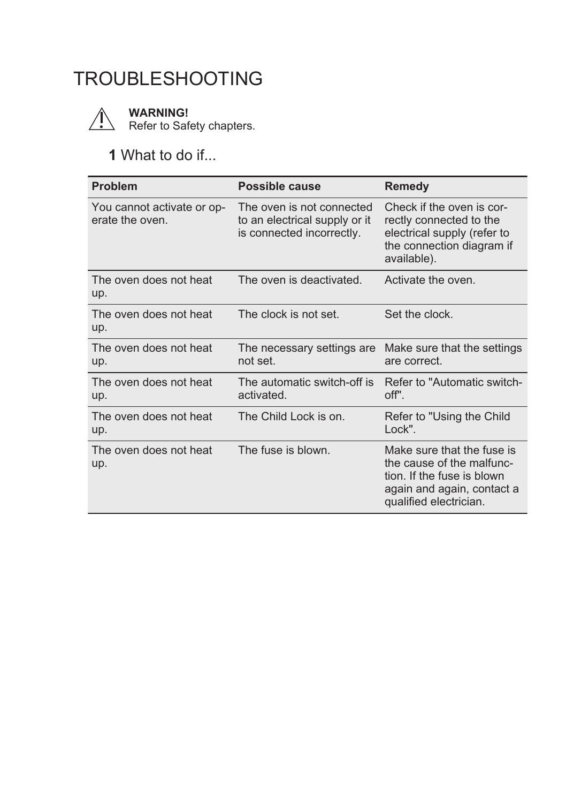## **11.** TROUBLESHOOTING



**WARNING!**

Refer to Safety chapters.

## **1** What to do if...

| <b>Problem</b>                                | Possible cause                                                                          | <b>Remedy</b>                                                                                                                                 |
|-----------------------------------------------|-----------------------------------------------------------------------------------------|-----------------------------------------------------------------------------------------------------------------------------------------------|
| You cannot activate or op-<br>erate the oven. | The oven is not connected<br>to an electrical supply or it<br>is connected incorrectly. | Check if the oven is cor-<br>rectly connected to the<br>electrical supply (refer to<br>the connection diagram if<br>available).               |
| The oven does not heat<br>up.                 | The oven is deactivated.                                                                | Activate the oven.                                                                                                                            |
| The oven does not heat<br>up.                 | The clock is not set.                                                                   | Set the clock.                                                                                                                                |
| The oven does not heat<br>up.                 | The necessary settings are<br>not set.                                                  | Make sure that the settings<br>are correct.                                                                                                   |
| The oven does not heat<br>up.                 | The automatic switch-off is<br>activated.                                               | Refer to "Automatic switch-<br>off".                                                                                                          |
| The oven does not heat<br>up.                 | The Child Lock is on.                                                                   | Refer to "Using the Child"<br>Lock".                                                                                                          |
| The oven does not heat<br>up.                 | The fuse is blown.                                                                      | Make sure that the fuse is<br>the cause of the malfunc-<br>tion. If the fuse is blown<br>again and again, contact a<br>qualified electrician. |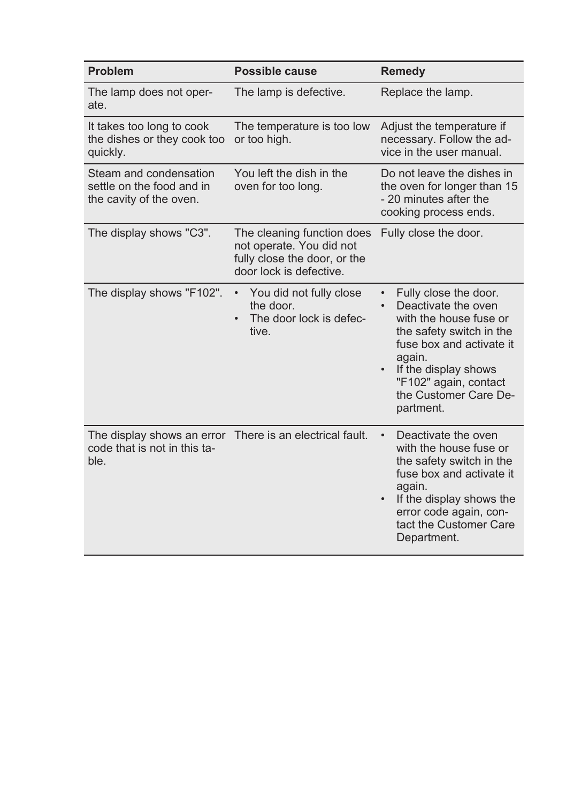| Problem                                                                        | Possible cause                                                                                                    | <b>Remedy</b>                                                                                                                                                                                                                   |
|--------------------------------------------------------------------------------|-------------------------------------------------------------------------------------------------------------------|---------------------------------------------------------------------------------------------------------------------------------------------------------------------------------------------------------------------------------|
| The lamp does not oper-<br>ate.                                                | The lamp is defective.                                                                                            | Replace the lamp.                                                                                                                                                                                                               |
| It takes too long to cook<br>the dishes or they cook too<br>quickly.           | The temperature is too low<br>or too high.                                                                        | Adjust the temperature if<br>necessary. Follow the ad-<br>vice in the user manual.                                                                                                                                              |
| Steam and condensation<br>settle on the food and in<br>the cavity of the oven. | You left the dish in the<br>oven for too long.                                                                    | Do not leave the dishes in<br>the oven for longer than 15<br>- 20 minutes after the<br>cooking process ends.                                                                                                                    |
| The display shows "C3".                                                        | The cleaning function does<br>not operate. You did not<br>fully close the door, or the<br>door lock is defective. | Fully close the door.                                                                                                                                                                                                           |
| The display shows "F102".                                                      | You did not fully close<br>the door.<br>The door lock is defec-<br>$\bullet$<br>tive.                             | Fully close the door.<br>Deactivate the oven<br>with the house fuse or<br>the safety switch in the<br>fuse box and activate it<br>again.<br>If the display shows<br>"F102" again, contact<br>the Customer Care De-<br>partment. |
| The display shows an error<br>code that is not in this ta-<br>ble.             | There is an electrical fault.                                                                                     | Deactivate the oven<br>with the house fuse or<br>the safety switch in the<br>fuse box and activate it<br>again.<br>If the display shows the<br>error code again, con-<br>tact the Customer Care<br>Department.                  |